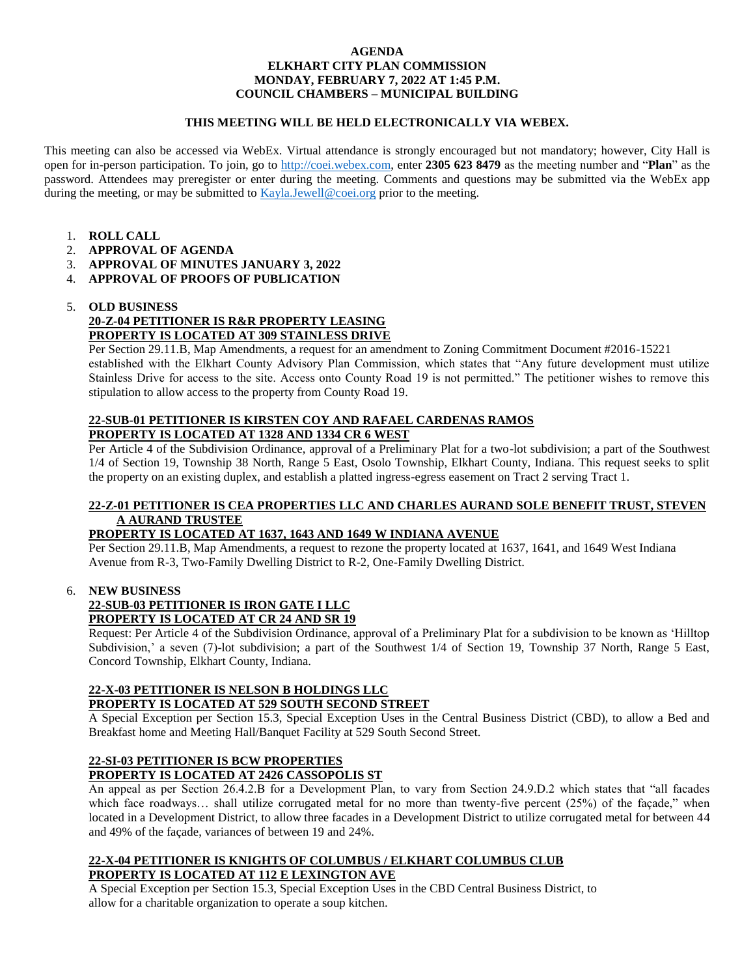#### **AGENDA ELKHART CITY PLAN COMMISSION MONDAY, FEBRUARY 7, 2022 AT 1:45 P.M. COUNCIL CHAMBERS – MUNICIPAL BUILDING**

#### **THIS MEETING WILL BE HELD ELECTRONICALLY VIA WEBEX.**

This meeting can also be accessed via WebEx. Virtual attendance is strongly encouraged but not mandatory; however, City Hall is open for in-person participation. To join, go to [http://coei.webex.com,](http://coei.webex.com/) enter **2305 623 8479** as the meeting number and "**Plan**" as the password. Attendees may preregister or enter during the meeting. Comments and questions may be submitted via the WebEx app during the meeting, or may be submitted to [Kayla.Jewell@coei.org](mailto:Kayla.Jewell@coei.org) prior to the meeting.

- 1. **ROLL CALL**
- 2. **APPROVAL OF AGENDA**
- 3. **APPROVAL OF MINUTES JANUARY 3, 2022**
- 4. **APPROVAL OF PROOFS OF PUBLICATION**

#### 5. **OLD BUSINESS**

# **20-Z-04 PETITIONER IS R&R PROPERTY LEASING PROPERTY IS LOCATED AT 309 STAINLESS DRIVE**

Per Section 29.11.B, Map Amendments, a request for an amendment to Zoning Commitment Document #2016-15221 established with the Elkhart County Advisory Plan Commission, which states that "Any future development must utilize Stainless Drive for access to the site. Access onto County Road 19 is not permitted." The petitioner wishes to remove this stipulation to allow access to the property from County Road 19.

## **22-SUB-01 PETITIONER IS KIRSTEN COY AND RAFAEL CARDENAS RAMOS PROPERTY IS LOCATED AT 1328 AND 1334 CR 6 WEST**

Per Article 4 of the Subdivision Ordinance, approval of a Preliminary Plat for a two-lot subdivision; a part of the Southwest 1/4 of Section 19, Township 38 North, Range 5 East, Osolo Township, Elkhart County, Indiana. This request seeks to split the property on an existing duplex, and establish a platted ingress-egress easement on Tract 2 serving Tract 1.

# **22-Z-01 PETITIONER IS CEA PROPERTIES LLC AND CHARLES AURAND SOLE BENEFIT TRUST, STEVEN A AURAND TRUSTEE**

## **PROPERTY IS LOCATED AT 1637, 1643 AND 1649 W INDIANA AVENUE**

Per Section 29.11.B, Map Amendments, a request to rezone the property located at 1637, 1641, and 1649 West Indiana Avenue from R-3, Two-Family Dwelling District to R-2, One-Family Dwelling District.

## 6. **NEW BUSINESS**

#### **22-SUB-03 PETITIONER IS IRON GATE I LLC PROPERTY IS LOCATED AT CR 24 AND SR 19**

Request: Per Article 4 of the Subdivision Ordinance, approval of a Preliminary Plat for a subdivision to be known as 'Hilltop Subdivision,' a seven (7)-lot subdivision; a part of the Southwest 1/4 of Section 19, Township 37 North, Range 5 East, Concord Township, Elkhart County, Indiana.

## **22-X-03 PETITIONER IS NELSON B HOLDINGS LLC PROPERTY IS LOCATED AT 529 SOUTH SECOND STREET**

A Special Exception per Section 15.3, Special Exception Uses in the Central Business District (CBD), to allow a Bed and Breakfast home and Meeting Hall/Banquet Facility at 529 South Second Street.

# **22-SI-03 PETITIONER IS BCW PROPERTIES**

## **PROPERTY IS LOCATED AT 2426 CASSOPOLIS ST**

An appeal as per Section 26.4.2.B for a Development Plan, to vary from Section 24.9.D.2 which states that "all facades which face roadways... shall utilize corrugated metal for no more than twenty-five percent (25%) of the façade," when located in a Development District, to allow three facades in a Development District to utilize corrugated metal for between 44 and 49% of the façade, variances of between 19 and 24%.

#### **22-X-04 PETITIONER IS KNIGHTS OF COLUMBUS / ELKHART COLUMBUS CLUB PROPERTY IS LOCATED AT 112 E LEXINGTON AVE**

A Special Exception per Section 15.3, Special Exception Uses in the CBD Central Business District, to allow for a charitable organization to operate a soup kitchen.